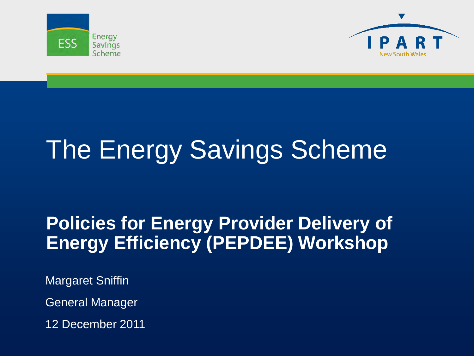



# The Energy Savings Scheme

#### **Policies for Energy Provider Delivery of Energy Efficiency (PEPDEE) Workshop**

Margaret Sniffin

General Manager

12 December 2011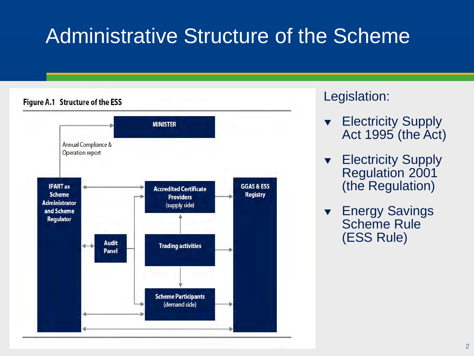# Administrative Structure of the Scheme



#### Legislation:

- Electricity Supply Act 1995 (the Act)
- **Electricity Supply** Regulation 2001 (the Regulation)
- **v** Energy Savings Scheme Rule (ESS Rule)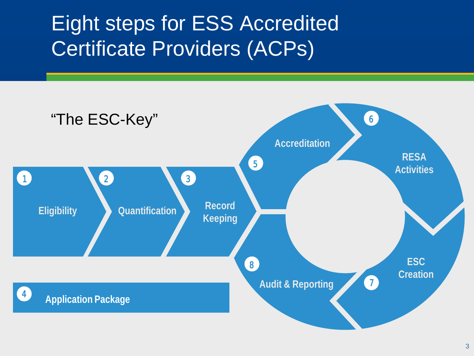## Eight steps for ESS Accredited Certificate Providers (ACPs)

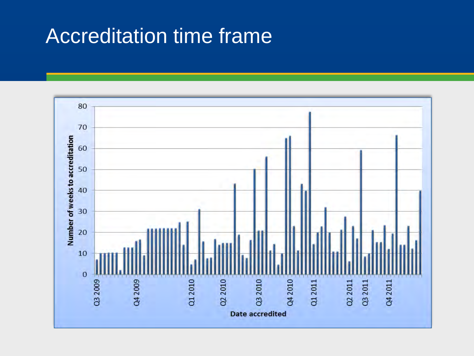#### Accreditation time frame

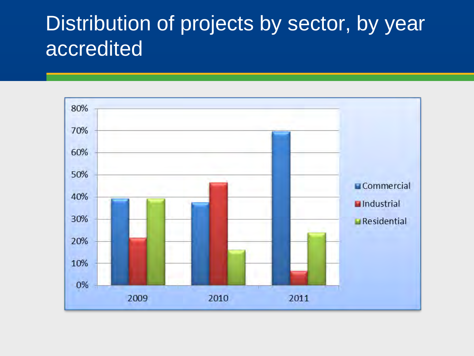#### Distribution of projects by sector, by year accredited

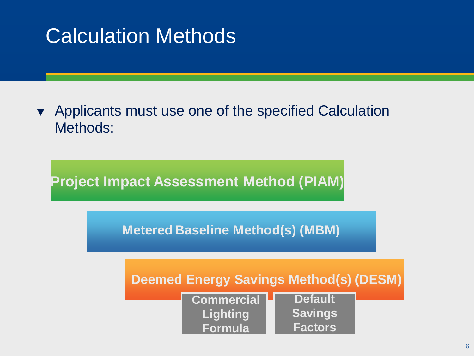# Calculation Methods

• Applicants must use one of the specified Calculation Methods:

**Project Impact Assessment Method (PIAM)**

**Metered Baseline Method(s) (MBM)**



| <b>Commercial</b> | <b>Default</b> |  |
|-------------------|----------------|--|
| Lighting          | <b>Savings</b> |  |
| <b>Formula</b>    | <b>Factors</b> |  |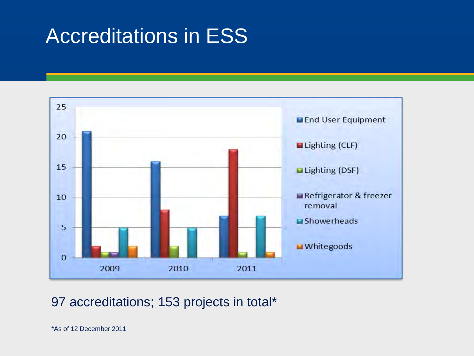## Accreditations in ESS



#### 97 accreditations; 153 projects in total\*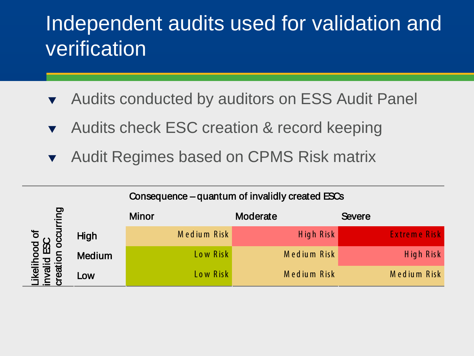## Independent audits used for validation and verification

- **The Audits conducted by auditors on ESS Audit Panel**
- Audits check ESC creation & record keeping
- **The Audit Regimes based on CPMS Risk matrix**

|                             |               | Consequence – quantum of invalidly created ESCs |             |                     |  |  |
|-----------------------------|---------------|-------------------------------------------------|-------------|---------------------|--|--|
| <u>pui</u>                  |               | <b>Minor</b>                                    | Moderate    | <b>Severe</b>       |  |  |
| hood of<br>d ESC<br>⊡<br>ବା | High          | Medium Risk                                     | High Risk   | <b>Extreme Risk</b> |  |  |
|                             | <b>Medium</b> | Low Risk                                        | Medium Risk | High Risk           |  |  |
|                             | Low           | Low Risk                                        | Medium Risk | Medium Risk         |  |  |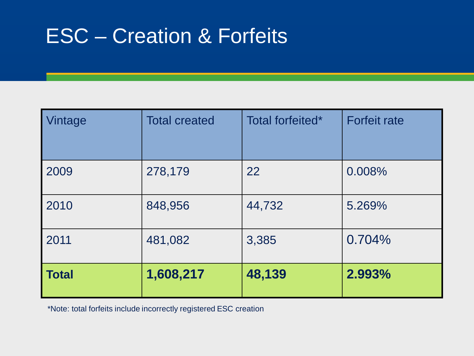## ESC – Creation & Forfeits

| Vintage      | <b>Total created</b> | Total forfeited* | <b>Forfeit rate</b> |
|--------------|----------------------|------------------|---------------------|
| 2009         | 278,179              | 22               | 0.008%              |
| 2010         | 848,956              | 44,732           | 5.269%              |
| 2011         | 481,082              | 3,385            | 0.704%              |
| <b>Total</b> | 1,608,217            | 48,139           | 2.993%              |

\*Note: total forfeits include incorrectly registered ESC creation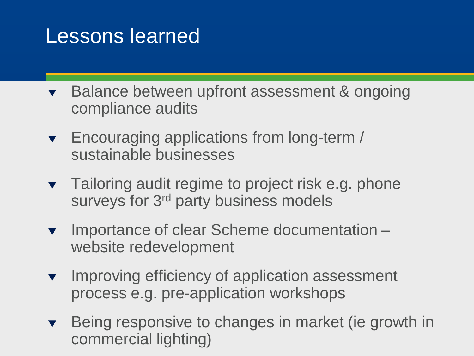#### Lessons learned

- Balance between upfront assessment & ongoing compliance audits
- **Encouraging applications from long-term /** sustainable businesses
- **Tailoring audit regime to project risk e.g. phone** surveys for 3<sup>rd</sup> party business models
- ▼ Importance of clear Scheme documentation website redevelopment
- **v** Improving efficiency of application assessment process e.g. pre-application workshops
- Being responsive to changes in market (ie growth in commercial lighting)